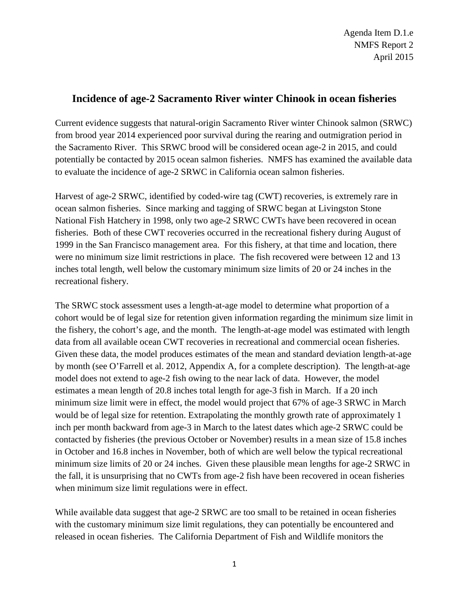Agenda Item D.1.e NMFS Report 2 April 2015

## **Incidence of age-2 Sacramento River winter Chinook in ocean fisheries**

Current evidence suggests that natural-origin Sacramento River winter Chinook salmon (SRWC) from brood year 2014 experienced poor survival during the rearing and outmigration period in the Sacramento River. This SRWC brood will be considered ocean age-2 in 2015, and could potentially be contacted by 2015 ocean salmon fisheries. NMFS has examined the available data to evaluate the incidence of age-2 SRWC in California ocean salmon fisheries.

Harvest of age-2 SRWC, identified by coded-wire tag (CWT) recoveries, is extremely rare in ocean salmon fisheries. Since marking and tagging of SRWC began at Livingston Stone National Fish Hatchery in 1998, only two age-2 SRWC CWTs have been recovered in ocean fisheries. Both of these CWT recoveries occurred in the recreational fishery during August of 1999 in the San Francisco management area. For this fishery, at that time and location, there were no minimum size limit restrictions in place. The fish recovered were between 12 and 13 inches total length, well below the customary minimum size limits of 20 or 24 inches in the recreational fishery.

The SRWC stock assessment uses a length-at-age model to determine what proportion of a cohort would be of legal size for retention given information regarding the minimum size limit in the fishery, the cohort's age, and the month. The length-at-age model was estimated with length data from all available ocean CWT recoveries in recreational and commercial ocean fisheries. Given these data, the model produces estimates of the mean and standard deviation length-at-age by month (see O'Farrell et al. 2012, Appendix A, for a complete description). The length-at-age model does not extend to age-2 fish owing to the near lack of data. However, the model estimates a mean length of 20.8 inches total length for age-3 fish in March. If a 20 inch minimum size limit were in effect, the model would project that 67% of age-3 SRWC in March would be of legal size for retention. Extrapolating the monthly growth rate of approximately 1 inch per month backward from age-3 in March to the latest dates which age-2 SRWC could be contacted by fisheries (the previous October or November) results in a mean size of 15.8 inches in October and 16.8 inches in November, both of which are well below the typical recreational minimum size limits of 20 or 24 inches. Given these plausible mean lengths for age-2 SRWC in the fall, it is unsurprising that no CWTs from age-2 fish have been recovered in ocean fisheries when minimum size limit regulations were in effect.

While available data suggest that age-2 SRWC are too small to be retained in ocean fisheries with the customary minimum size limit regulations, they can potentially be encountered and released in ocean fisheries. The California Department of Fish and Wildlife monitors the